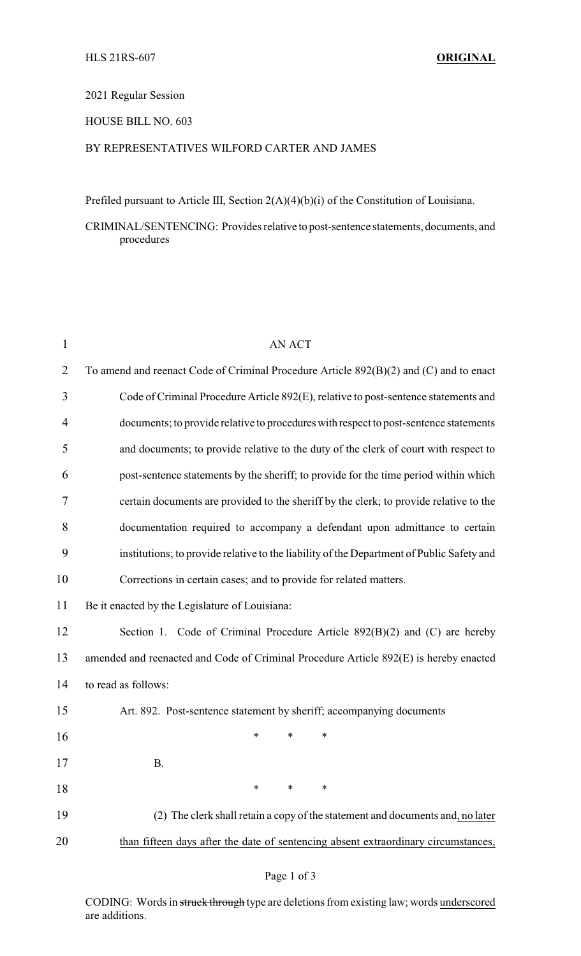#### 2021 Regular Session

# HOUSE BILL NO. 603

# BY REPRESENTATIVES WILFORD CARTER AND JAMES

Prefiled pursuant to Article III, Section 2(A)(4)(b)(i) of the Constitution of Louisiana.

CRIMINAL/SENTENCING: Provides relative to post-sentence statements, documents, and procedures

| 1              | <b>AN ACT</b>                                                                             |
|----------------|-------------------------------------------------------------------------------------------|
| $\overline{2}$ | To amend and reenact Code of Criminal Procedure Article 892(B)(2) and (C) and to enact    |
| 3              | Code of Criminal Procedure Article 892(E), relative to post-sentence statements and       |
| 4              | documents; to provide relative to procedures with respect to post-sentence statements     |
| 5              | and documents; to provide relative to the duty of the clerk of court with respect to      |
| 6              | post-sentence statements by the sheriff; to provide for the time period within which      |
| 7              | certain documents are provided to the sheriff by the clerk; to provide relative to the    |
| 8              | documentation required to accompany a defendant upon admittance to certain                |
| 9              | institutions; to provide relative to the liability of the Department of Public Safety and |
| 10             | Corrections in certain cases; and to provide for related matters.                         |
| 11             | Be it enacted by the Legislature of Louisiana:                                            |
| 12             | Section 1. Code of Criminal Procedure Article 892(B)(2) and (C) are hereby                |
| 13             | amended and reenacted and Code of Criminal Procedure Article 892(E) is hereby enacted     |
| 14             | to read as follows:                                                                       |
| 15             | Art. 892. Post-sentence statement by sheriff; accompanying documents                      |
| 16             | *<br>*<br>∗                                                                               |
| 17             | <b>B.</b>                                                                                 |
| 18             | *<br>∗<br>∗                                                                               |
| 19             | (2) The clerk shall retain a copy of the statement and documents and, no later            |
| 20             | than fifteen days after the date of sentencing absent extraordinary circumstances,        |

CODING: Words in struck through type are deletions from existing law; words underscored are additions.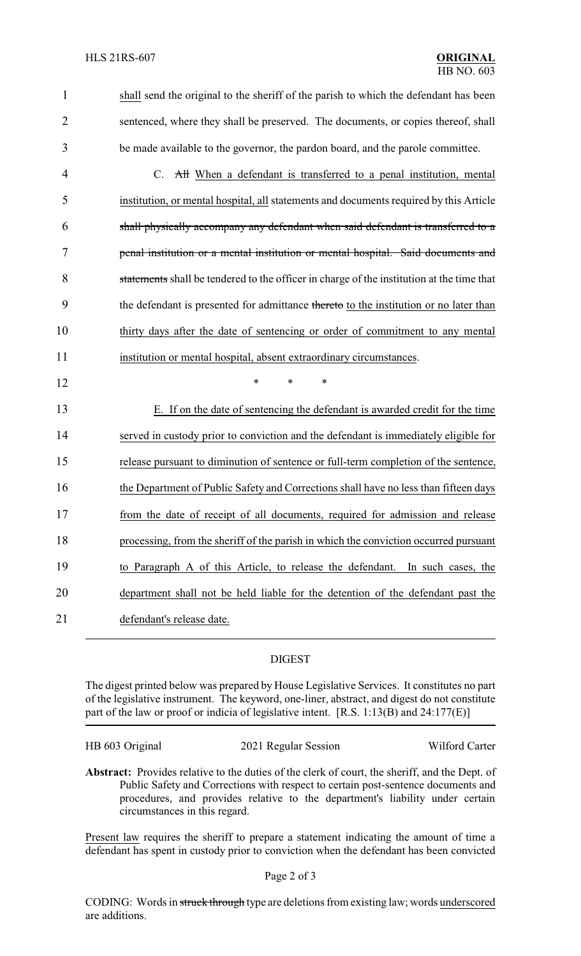| 1              | shall send the original to the sheriff of the parish to which the defendant has been      |
|----------------|-------------------------------------------------------------------------------------------|
| $\overline{2}$ | sentenced, where they shall be preserved. The documents, or copies thereof, shall         |
| 3              | be made available to the governor, the pardon board, and the parole committee.            |
| $\overline{4}$ | C. All When a defendant is transferred to a penal institution, mental                     |
| 5              | institution, or mental hospital, all statements and documents required by this Article    |
| 6              | shall physically accompany any defendant when said defendant is transferred to a          |
| 7              | penal institution or a mental institution or mental hospital. Said documents and          |
| 8              | statements shall be tendered to the officer in charge of the institution at the time that |
| 9              | the defendant is presented for admittance thereto to the institution or no later than     |
| 10             | thirty days after the date of sentencing or order of commitment to any mental             |
| 11             | institution or mental hospital, absent extraordinary circumstances.                       |
| 12             | $\ast$<br>$\ast$<br>∗                                                                     |
| 13             | E. If on the date of sentencing the defendant is awarded credit for the time              |
| 14             | served in custody prior to conviction and the defendant is immediately eligible for       |
| 15             | release pursuant to diminution of sentence or full-term completion of the sentence,       |
| 16             | the Department of Public Safety and Corrections shall have no less than fifteen days      |
| 17             | from the date of receipt of all documents, required for admission and release             |
| 18             | processing, from the sheriff of the parish in which the conviction occurred pursuant      |
| 19             | to Paragraph A of this Article, to release the defendant. In such cases, the              |
| 20             | department shall not be held liable for the detention of the defendant past the           |
| 21             | defendant's release date.                                                                 |

# DIGEST

The digest printed below was prepared by House Legislative Services. It constitutes no part of the legislative instrument. The keyword, one-liner, abstract, and digest do not constitute part of the law or proof or indicia of legislative intent. [R.S. 1:13(B) and 24:177(E)]

HB 603 Original 2021 Regular Session Wilford Carter

**Abstract:** Provides relative to the duties of the clerk of court, the sheriff, and the Dept. of Public Safety and Corrections with respect to certain post-sentence documents and procedures, and provides relative to the department's liability under certain circumstances in this regard.

Present law requires the sheriff to prepare a statement indicating the amount of time a defendant has spent in custody prior to conviction when the defendant has been convicted

# Page 2 of 3

CODING: Words in struck through type are deletions from existing law; words underscored are additions.